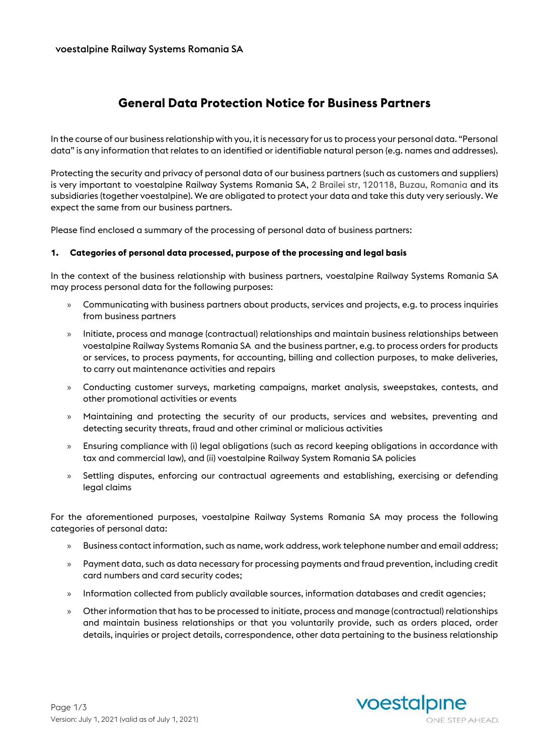# **General Data Protection Notice for Business Partners**

In the course of our business relationship with you, it is necessary for us to process your personal data. "Personal data" is any information that relates to an identified or identifiable natural person (e.g. names and addresses).

Protecting the security and privacy of personal data of our business partners (such as customers and suppliers) is very important to voestalpine Railway Systems Romania SA, 2 Brailei str, 120118, Buzau, Romania and its subsidiaries (together voestalpine). We are obligated to protect your data and take this duty very seriously. We expect the same from our business partners.

Please find enclosed a summary of the processing of personal data of business partners:

#### **1. Categories of personal data processed, purpose of the processing and legal basis**

In the context of the business relationship with business partners, voestalpine Railway Systems Romania SA may process personal data for the following purposes:

- » Communicating with business partners about products, services and projects, e.g. to process inquiries from business partners
- » Initiate, process and manage (contractual) relationships and maintain business relationships between voestalpine Railway Systems Romania SA and the business partner, e.g. to process orders for products or services, to process payments, for accounting, billing and collection purposes, to make deliveries, to carry out maintenance activities and repairs
- » Conducting customer surveys, marketing campaigns, market analysis, sweepstakes, contests, and other promotional activities or events
- » Maintaining and protecting the security of our products, services and websites, preventing and detecting security threats, fraud and other criminal or malicious activities
- » Ensuring compliance with (i) legal obligations (such as record keeping obligations in accordance with tax and commercial law), and (ii) voestalpine Railway System Romania SA policies
- » Settling disputes, enforcing our contractual agreements and establishing, exercising or defending legal claims

For the aforementioned purposes, voestalpine Railway Systems Romania SA may process the following categories of personal data:

- » Business contact information, such as name, work address, work telephone number and email address;
- » Payment data, such as data necessary for processing payments and fraud prevention, including credit card numbers and card security codes;
- » Information collected from publicly available sources, information databases and credit agencies;
- » Other information that has to be processed to initiate, process and manage (contractual) relationships and maintain business relationships or that you voluntarily provide, such as orders placed, order details, inquiries or project details, correspondence, other data pertaining to the business relationship

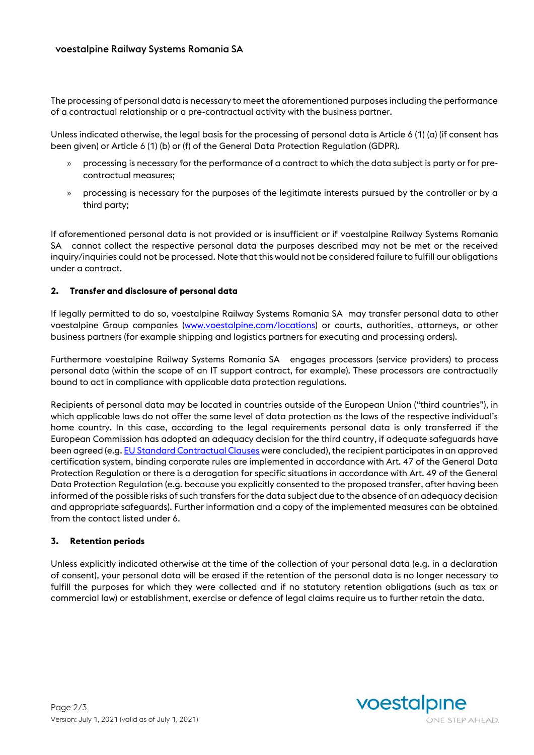The processing of personal data is necessary to meet the aforementioned purposes including the performance of a contractual relationship or a pre-contractual activity with the business partner.

Unless indicated otherwise, the legal basis for the processing of personal data is Article 6 (1) (a) (if consent has been given) or Article 6 (1) (b) or (f) of the General Data Protection Regulation (GDPR).

- » processing is necessary for the performance of a contract to which the data subject is party or for precontractual measures;
- » processing is necessary for the purposes of the legitimate interests pursued by the controller or by a third party;

If aforementioned personal data is not provided or is insufficient or if voestalpine Railway Systems Romania SA cannot collect the respective personal data the purposes described may not be met or the received inquiry/inquiries could not be processed. Note that this would not be considered failure to fulfill our obligations under a contract.

### **2. Transfer and disclosure of personal data**

If legally permitted to do so, voestalpine Railway Systems Romania SA may transfer personal data to other voestalpine Group companies [\(www.voestalpine.com/locations\)](http://www.voestalpine.com/locations) or courts, authorities, attorneys, or other business partners (for example shipping and logistics partners for executing and processing orders).

Furthermore voestalpine Railway Systems Romania SA engages processors (service providers) to process personal data (within the scope of an IT support contract, for example). These processors are contractually bound to act in compliance with applicable data protection regulations.

Recipients of personal data may be located in countries outside of the European Union ("third countries"), in which applicable laws do not offer the same level of data protection as the laws of the respective individual's home country. In this case, according to the legal requirements personal data is only transferred if the European Commission has adopted an adequacy decision for the third country, if adequate safeguards have been agreed (e.g[. EU Standard Contractual Clauses](https://ec.europa.eu/info/law/law-topic/data-protection/data-transfers-outside-eu/model-contracts-transfer-personal-data-third-countries_en) were concluded), the recipient participates in an approved certification system, binding corporate rules are implemented in accordance with Art. 47 of the General Data Protection Regulation or there is a derogation for specific situations in accordance with Art. 49 of the General Data Protection Regulation (e.g. because you explicitly consented to the proposed transfer, after having been informed of the possible risks of such transfers for the data subject due to the absence of an adequacy decision and appropriate safeguards). Further information and a copy of the implemented measures can be obtained from the contact listed under 6.

### **3. Retention periods**

Unless explicitly indicated otherwise at the time of the collection of your personal data (e.g. in a declaration of consent), your personal data will be erased if the retention of the personal data is no longer necessary to fulfill the purposes for which they were collected and if no statutory retention obligations (such as tax or commercial law) or establishment, exercise or defence of legal claims require us to further retain the data.